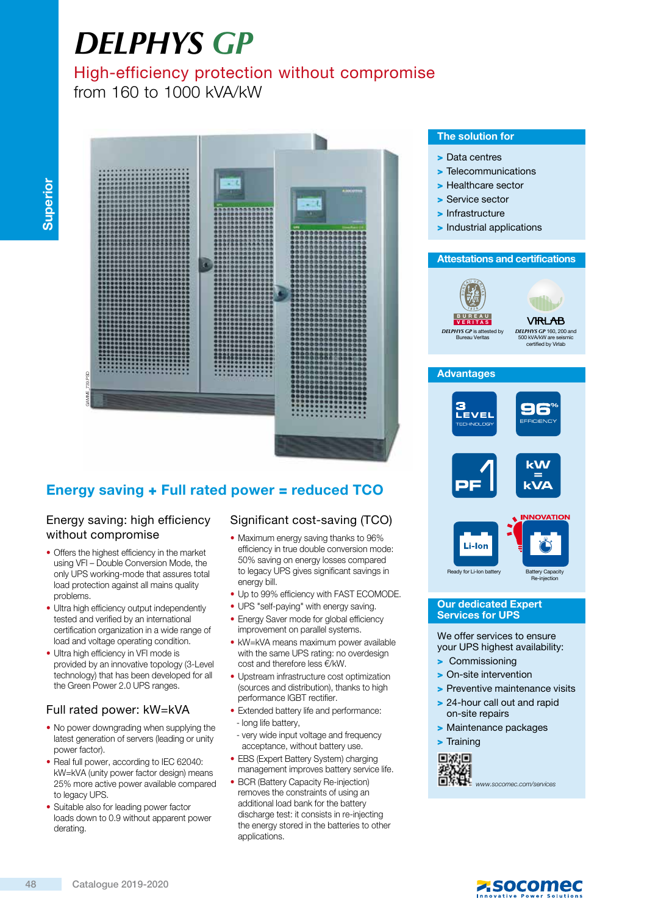# *DELPHYS GP*

# High-efficiency protection without compromise

from 160 to 1000 kVA/kW



# Energy saving + Full rated power = reduced TCO

## Energy saving: high efficiency without compromise

- Offers the highest efficiency in the market using VFI – Double Conversion Mode, the only UPS working-mode that assures total load protection against all mains quality problems.
- Ultra high efficiency output independently tested and verified by an international certification organization in a wide range of load and voltage operating condition.
- Ultra high efficiency in VFI mode is provided by an innovative topology (3-Level technology) that has been developed for all the Green Power 2.0 UPS ranges.

# Full rated power: kW=kVA

- No power downgrading when supplying the latest generation of servers (leading or unity power factor).
- Real full power, according to IEC 62040: kW=kVA (unity power factor design) means 25% more active power available compared to legacy UPS.
- Suitable also for leading power factor loads down to 0.9 without apparent power derating.

# Significant cost-saving (TCO)

- Maximum energy saving thanks to 96% efficiency in true double conversion mode: 50% saving on energy losses compared to legacy UPS gives significant savings in energy bill.
- Up to 99% efficiency with FAST ECOMODE.
- UPS "self-paying" with energy saving. • Energy Saver mode for global efficiency
- improvement on parallel systems. • kW=kVA means maximum power available with the same UPS rating: no overdesign cost and therefore less €/kW.
- Upstream infrastructure cost optimization (sources and distribution), thanks to high performance IGBT rectifier.
- Extended battery life and performance: - long life battery,
- very wide input voltage and frequency acceptance, without battery use.
- EBS (Expert Battery System) charging management improves battery service life.
- BCR (Battery Capacity Re-injection) removes the constraints of using an additional load bank for the battery discharge test: it consists in re-injecting the energy stored in the batteries to other applications.

## The solution for

- > Data centres
- > Telecommunications
- > Healthcare sector
- > Service sector
- > Infrastructure
- > Industrial applications

#### Attestations and certifications



*DELPHYS GP* 160, 200 and 500 kVA/kW are seismic certified by Virlab

## **Advantages**



#### **Our dedicated Expert** Services for UPS

We offer services to ensure your UPS highest availability:

- > Commissioning
- > On-site intervention
- > Preventive maintenance visits
- > 24-hour call out and rapid on-site repairs
- > Maintenance packages

> Training



WWW.<br>WWW.socomec.com/services